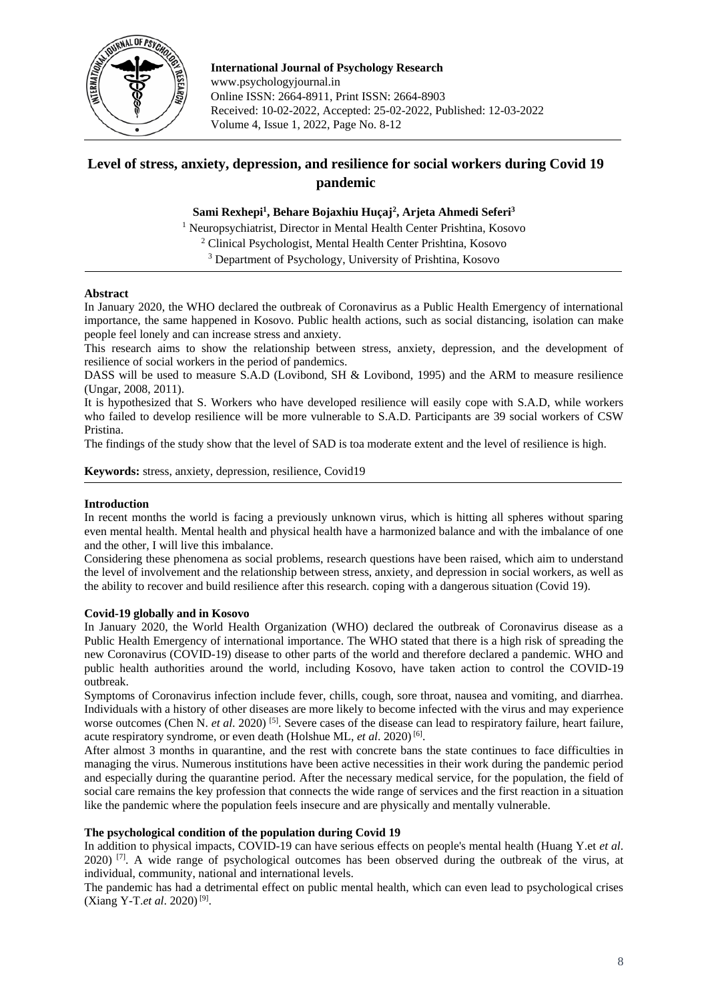

**International Journal of Psychology Research** www.psychologyjournal.in Online ISSN: 2664-8911, Print ISSN: 2664-8903 Received: 10-02-2022, Accepted: 25-02-2022, Published: 12-03-2022 Volume 4, Issue 1, 2022, Page No. 8-12

# **Level of stress, anxiety, depression, and resilience for social workers during Covid 19 pandemic**

## **Sami Rexhepi<sup>1</sup> , Behare Bojaxhiu Huçaj<sup>2</sup> , Arjeta Ahmedi Seferi<sup>3</sup>**

<sup>1</sup> Neuropsychiatrist, Director in Mental Health Center Prishtina, Kosovo <sup>2</sup> Clinical Psychologist, Mental Health Center Prishtina, Kosovo

<sup>3</sup> Department of Psychology, University of Prishtina, Kosovo

## **Abstract**

In January 2020, the WHO declared the outbreak of Coronavirus as a Public Health Emergency of international importance, the same happened in Kosovo. Public health actions, such as social distancing, isolation can make people feel lonely and can increase stress and anxiety.

This research aims to show the relationship between stress, anxiety, depression, and the development of resilience of social workers in the period of pandemics.

DASS will be used to measure S.A.D (Lovibond, SH & Lovibond, 1995) and the ARM to measure resilience (Ungar, 2008, 2011).

It is hypothesized that S. Workers who have developed resilience will easily cope with S.A.D, while workers who failed to develop resilience will be more vulnerable to S.A.D. Participants are 39 social workers of CSW Pristina.

The findings of the study show that the level of SAD is toa moderate extent and the level of resilience is high.

**Keywords:** stress, anxiety, depression, resilience, Covid19

## **Introduction**

In recent months the world is facing a previously unknown virus, which is hitting all spheres without sparing even mental health. Mental health and physical health have a harmonized balance and with the imbalance of one and the other, I will live this imbalance.

Considering these phenomena as social problems, research questions have been raised, which aim to understand the level of involvement and the relationship between stress, anxiety, and depression in social workers, as well as the ability to recover and build resilience after this research. coping with a dangerous situation (Covid 19).

## **Covid-19 globally and in Kosovo**

In January 2020, the World Health Organization (WHO) declared the outbreak of Coronavirus disease as a Public Health Emergency of international importance. The WHO stated that there is a high risk of spreading the new Coronavirus (COVID-19) disease to other parts of the world and therefore declared a pandemic. WHO and public health authorities around the world, including Kosovo, have taken action to control the COVID-19 outbreak.

Symptoms of Coronavirus infection include fever, chills, cough, sore throat, nausea and vomiting, and diarrhea. Individuals with a history of other diseases are more likely to become infected with the virus and may experience worse outcomes (Chen N. *et al.* 2020)<sup>[5]</sup>. Severe cases of the disease can lead to respiratory failure, heart failure, acute respiratory syndrome, or even death (Holshue ML, et al. 2020)<sup>[6]</sup>.

After almost 3 months in quarantine, and the rest with concrete bans the state continues to face difficulties in managing the virus. Numerous institutions have been active necessities in their work during the pandemic period and especially during the quarantine period. After the necessary medical service, for the population, the field of social care remains the key profession that connects the wide range of services and the first reaction in a situation like the pandemic where the population feels insecure and are physically and mentally vulnerable.

## **The psychological condition of the population during Covid 19**

In addition to physical impacts, COVID-19 can have serious effects on people's mental health (Huang Y.et *et al*. 2020)  $[7]$ . A wide range of psychological outcomes has been observed during the outbreak of the virus, at individual, community, national and international levels.

The pandemic has had a detrimental effect on public mental health, which can even lead to psychological crises (Xiang Y-T.et al. 2020)<sup>[9]</sup>.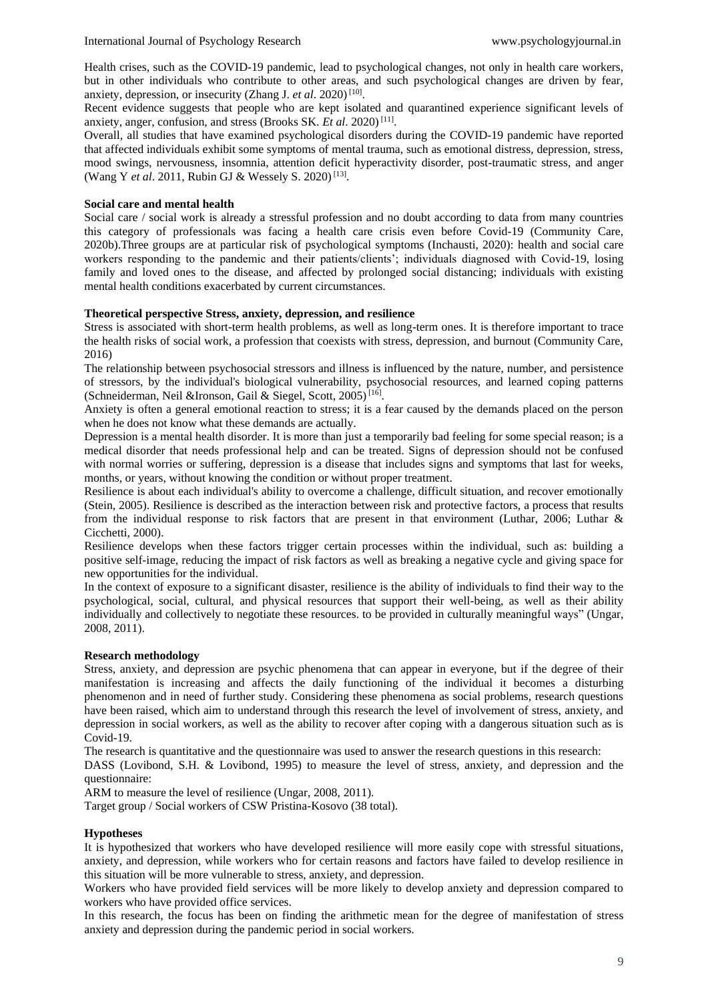Health crises, such as the COVID-19 pandemic, lead to psychological changes, not only in health care workers, but in other individuals who contribute to other areas, and such psychological changes are driven by fear, anxiety, depression, or insecurity (Zhang J. et al. 2020)<sup>[10]</sup>.

Recent evidence suggests that people who are kept isolated and quarantined experience significant levels of anxiety, anger, confusion, and stress (Brooks SK. *Et al.* 2020)<sup>[11]</sup>.

Overall, all studies that have examined psychological disorders during the COVID-19 pandemic have reported that affected individuals exhibit some symptoms of mental trauma, such as emotional distress, depression, stress, mood swings, nervousness, insomnia, attention deficit hyperactivity disorder, post-traumatic stress, and anger (Wang Y et al. 2011, Rubin GJ & Wessely S. 2020)<sup>[13]</sup>.

#### **Social care and mental health**

Social care / social work is already a stressful profession and no doubt according to data from many countries this category of professionals was facing a health care crisis even before Covid-19 (Community Care, 2020b).Three groups are at particular risk of psychological symptoms (Inchausti, 2020): health and social care workers responding to the pandemic and their patients/clients'; individuals diagnosed with Covid-19, losing family and loved ones to the disease, and affected by prolonged social distancing; individuals with existing mental health conditions exacerbated by current circumstances.

#### **Theoretical perspective Stress, anxiety, depression, and resilience**

Stress is associated with short-term health problems, as well as long-term ones. It is therefore important to trace the health risks of social work, a profession that coexists with stress, depression, and burnout (Community Care, 2016)

The relationship between psychosocial stressors and illness is influenced by the nature, number, and persistence of stressors, by the individual's biological vulnerability, psychosocial resources, and learned coping patterns (Schneiderman, Neil &Ironson, Gail & Siegel, Scott, 2005)<sup>[16]</sup>.

Anxiety is often a general emotional reaction to stress; it is a fear caused by the demands placed on the person when he does not know what these demands are actually.

Depression is a mental health disorder. It is more than just a temporarily bad feeling for some special reason; is a medical disorder that needs professional help and can be treated. Signs of depression should not be confused with normal worries or suffering, depression is a disease that includes signs and symptoms that last for weeks, months, or years, without knowing the condition or without proper treatment.

Resilience is about each individual's ability to overcome a challenge, difficult situation, and recover emotionally (Stein, 2005). Resilience is described as the interaction between risk and protective factors, a process that results from the individual response to risk factors that are present in that environment (Luthar, 2006; Luthar & Cicchetti, 2000).

Resilience develops when these factors trigger certain processes within the individual, such as: building a positive self-image, reducing the impact of risk factors as well as breaking a negative cycle and giving space for new opportunities for the individual.

In the context of exposure to a significant disaster, resilience is the ability of individuals to find their way to the psychological, social, cultural, and physical resources that support their well-being, as well as their ability individually and collectively to negotiate these resources. to be provided in culturally meaningful ways" (Ungar, 2008, 2011).

## **Research methodology**

Stress, anxiety, and depression are psychic phenomena that can appear in everyone, but if the degree of their manifestation is increasing and affects the daily functioning of the individual it becomes a disturbing phenomenon and in need of further study. Considering these phenomena as social problems, research questions have been raised, which aim to understand through this research the level of involvement of stress, anxiety, and depression in social workers, as well as the ability to recover after coping with a dangerous situation such as is Covid-19.

The research is quantitative and the questionnaire was used to answer the research questions in this research:

DASS (Lovibond, S.H. & Lovibond, 1995) to measure the level of stress, anxiety, and depression and the questionnaire:

ARM to measure the level of resilience (Ungar, 2008, 2011).

Target group / Social workers of CSW Pristina-Kosovo (38 total).

## **Hypotheses**

It is hypothesized that workers who have developed resilience will more easily cope with stressful situations, anxiety, and depression, while workers who for certain reasons and factors have failed to develop resilience in this situation will be more vulnerable to stress, anxiety, and depression.

Workers who have provided field services will be more likely to develop anxiety and depression compared to workers who have provided office services.

In this research, the focus has been on finding the arithmetic mean for the degree of manifestation of stress anxiety and depression during the pandemic period in social workers.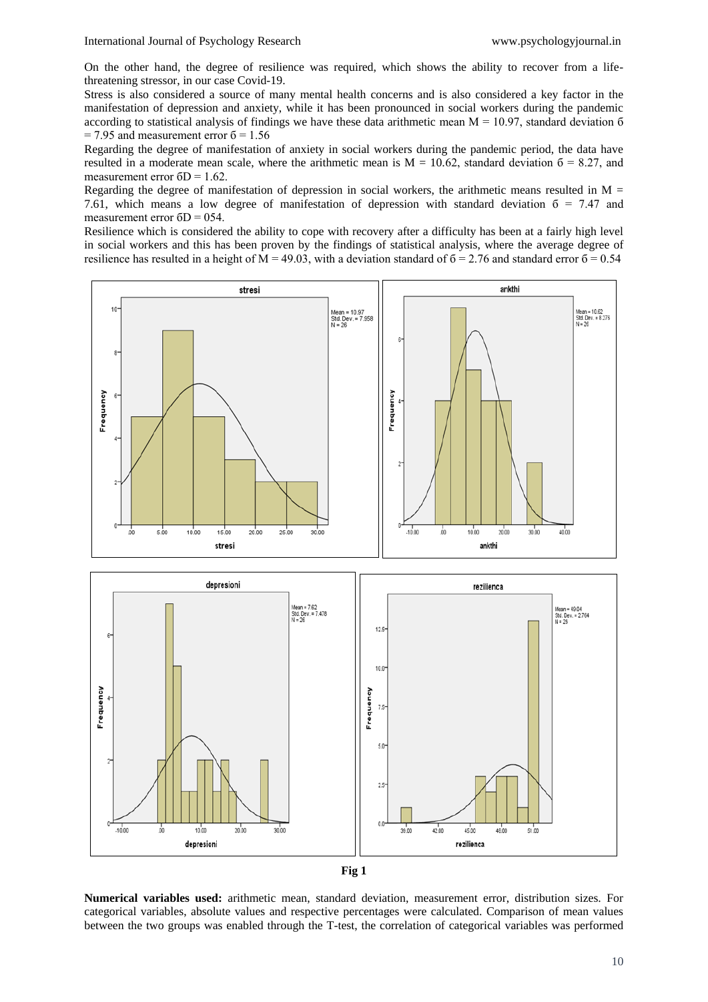On the other hand, the degree of resilience was required, which shows the ability to recover from a lifethreatening stressor, in our case Covid-19.

Stress is also considered a source of many mental health concerns and is also considered a key factor in the manifestation of depression and anxiety, while it has been pronounced in social workers during the pandemic according to statistical analysis of findings we have these data arithmetic mean  $M = 10.97$ , standard deviation 6  $= 7.95$  and measurement error  $6 = 1.56$ 

Regarding the degree of manifestation of anxiety in social workers during the pandemic period, the data have resulted in a moderate mean scale, where the arithmetic mean is  $M = 10.62$ , standard deviation  $6 = 8.27$ , and measurement error  $6D = 1.62$ .

Regarding the degree of manifestation of depression in social workers, the arithmetic means resulted in  $M =$ 7.61, which means a low degree of manifestation of depression with standard deviation  $\delta = 7.47$  and measurement error  $6D = 054$ .

Resilience which is considered the ability to cope with recovery after a difficulty has been at a fairly high level in social workers and this has been proven by the findings of statistical analysis, where the average degree of resilience has resulted in a height of  $M = 49.03$ , with a deviation standard of  $\delta = 2.76$  and standard error  $\delta = 0.54$ 



**Numerical variables used:** arithmetic mean, standard deviation, measurement error, distribution sizes. For categorical variables, absolute values and respective percentages were calculated. Comparison of mean values between the two groups was enabled through the T-test, the correlation of categorical variables was performed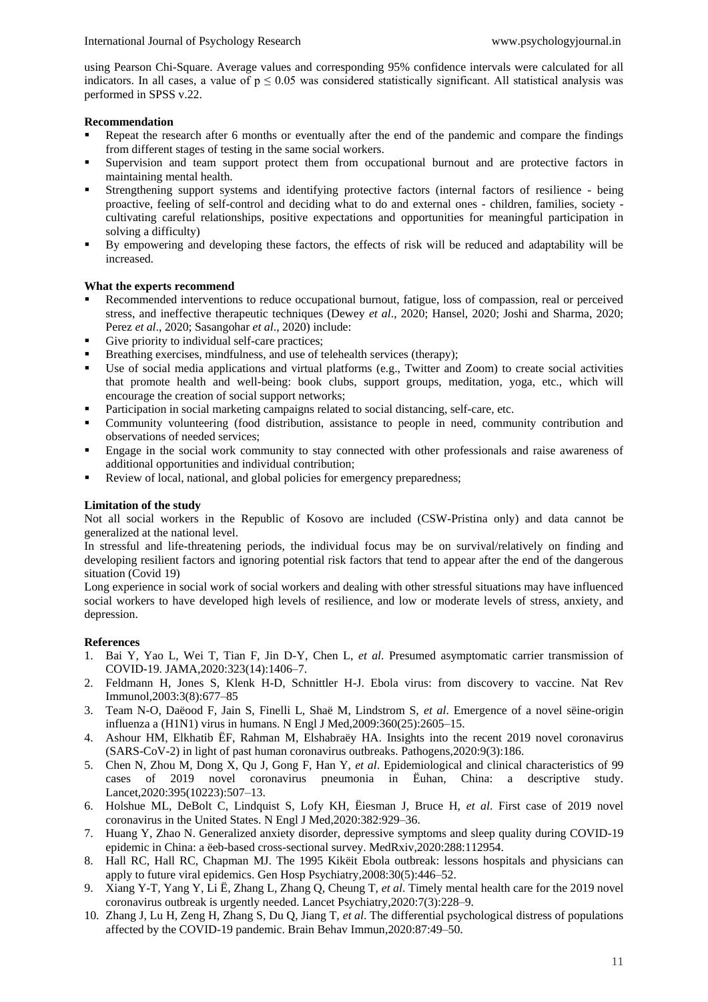using Pearson Chi-Square. Average values and corresponding 95% confidence intervals were calculated for all indicators. In all cases, a value of  $p \le 0.05$  was considered statistically significant. All statistical analysis was performed in SPSS v.22.

#### **Recommendation**

- Repeat the research after 6 months or eventually after the end of the pandemic and compare the findings from different stages of testing in the same social workers.
- Supervision and team support protect them from occupational burnout and are protective factors in maintaining mental health.
- Strengthening support systems and identifying protective factors (internal factors of resilience being proactive, feeling of self-control and deciding what to do and external ones - children, families, society cultivating careful relationships, positive expectations and opportunities for meaningful participation in solving a difficulty)
- By empowering and developing these factors, the effects of risk will be reduced and adaptability will be increased.

#### **What the experts recommend**

- Recommended interventions to reduce occupational burnout, fatigue, loss of compassion, real or perceived stress, and ineffective therapeutic techniques (Dewey *et al*., 2020; Hansel, 2020; Joshi and Sharma, 2020; Perez *et al*., 2020; Sasangohar *et al*., 2020) include:
- Give priority to individual self-care practices:
- Breathing exercises, mindfulness, and use of telehealth services (therapy);
- Use of social media applications and virtual platforms (e.g., Twitter and Zoom) to create social activities that promote health and well-being: book clubs, support groups, meditation, yoga, etc., which will encourage the creation of social support networks;
- Participation in social marketing campaigns related to social distancing, self-care, etc.
- Community volunteering (food distribution, assistance to people in need, community contribution and observations of needed services;
- Engage in the social work community to stay connected with other professionals and raise awareness of additional opportunities and individual contribution;
- Review of local, national, and global policies for emergency preparedness;

### **Limitation of the study**

Not all social workers in the Republic of Kosovo are included (CSW-Pristina only) and data cannot be generalized at the national level.

In stressful and life-threatening periods, the individual focus may be on survival/relatively on finding and developing resilient factors and ignoring potential risk factors that tend to appear after the end of the dangerous situation (Covid 19)

Long experience in social work of social workers and dealing with other stressful situations may have influenced social workers to have developed high levels of resilience, and low or moderate levels of stress, anxiety, and depression.

#### **References**

- 1. Bai Y, Yao L, Wei T, Tian F, Jin D-Y, Chen L, *et al*. Presumed asymptomatic carrier transmission of COVID-19. JAMA,2020:323(14):1406–7.
- 2. Feldmann H, Jones S, Klenk H-D, Schnittler H-J. Ebola virus: from discovery to vaccine. Nat Rev Immunol,2003:3(8):677–85
- 3. Team N-O, Daëood F, Jain S, Finelli L, Shaë M, Lindstrom S, *et al*. Emergence of a novel sëine-origin influenza a (H1N1) virus in humans. N Engl J Med,2009:360(25):2605–15.
- 4. Ashour HM, Elkhatib ËF, Rahman M, Elshabraëy HA. Insights into the recent 2019 novel coronavirus (SARS-CoV-2) in light of past human coronavirus outbreaks. Pathogens,2020:9(3):186.
- 5. Chen N, Zhou M, Dong X, Qu J, Gong F, Han Y, *et al*. Epidemiological and clinical characteristics of 99 cases of 2019 novel coronavirus pneumonia in Ëuhan, China: a descriptive study. Lancet,2020:395(10223):507–13.
- 6. Holshue ML, DeBolt C, Lindquist S, Lofy KH, Ëiesman J, Bruce H, *et al*. First case of 2019 novel coronavirus in the United States. N Engl J Med,2020:382:929–36.
- 7. Huang Y, Zhao N. Generalized anxiety disorder, depressive symptoms and sleep quality during COVID-19 epidemic in China: a ëeb-based cross-sectional survey. MedRxiv,2020:288:112954.
- 8. Hall RC, Hall RC, Chapman MJ. The 1995 Kikëit Ebola outbreak: lessons hospitals and physicians can apply to future viral epidemics. Gen Hosp Psychiatry,2008:30(5):446–52.
- 9. Xiang Y-T, Yang Y, Li Ë, Zhang L, Zhang Q, Cheung T, *et al*. Timely mental health care for the 2019 novel coronavirus outbreak is urgently needed. Lancet Psychiatry,2020:7(3):228–9.
- 10. Zhang J, Lu H, Zeng H, Zhang S, Du Q, Jiang T, *et al*. The differential psychological distress of populations affected by the COVID-19 pandemic. Brain Behav Immun,2020:87:49–50.